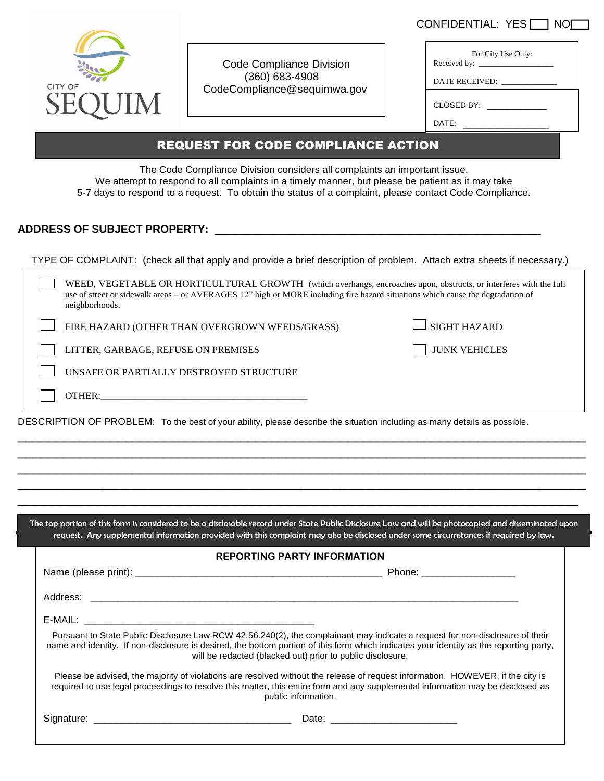| CONFIDENTIAL: YES | 1 NOI |
|-------------------|-------|
|-------------------|-------|



Code Compliance Division (360) 683-4908 CodeCompliance@sequimwa.gov

| For City Use Only: |  |
|--------------------|--|
| DATE RECEIVED:     |  |
| CLOSED BY:         |  |
| DATE:              |  |
|                    |  |

## REQUEST FOR CODE COMPLIANCE ACTION

The Code Compliance Division considers all complaints an important issue. We attempt to respond to all complaints in a timely manner, but please be patient as it may take 5-7 days to respond to a request. To obtain the status of a complaint, please contact Code Compliance.

## **ADDRESS OF SUBJECT PROPERTY:** \_\_\_\_\_\_\_\_\_\_\_\_\_\_\_\_\_\_\_\_\_\_\_\_\_\_\_\_\_\_\_\_\_\_\_\_\_\_\_\_\_\_\_\_\_\_\_\_\_\_\_\_\_\_

| TYPE OF COMPLAINT: (check all that apply and provide a brief description of problem. Attach extra sheets if necessary.)                                                                                                                                               |                      |  |  |  |  |  |
|-----------------------------------------------------------------------------------------------------------------------------------------------------------------------------------------------------------------------------------------------------------------------|----------------------|--|--|--|--|--|
| WEED, VEGETABLE OR HORTICULTURAL GROWTH (which overhangs, encroaches upon, obstructs, or interferes with the full<br>use of street or sidewalk areas – or AVERAGES 12" high or MORE including fire hazard situations which cause the degradation of<br>neighborhoods. |                      |  |  |  |  |  |
| FIRE HAZARD (OTHER THAN OVERGROWN WEEDS/GRASS)                                                                                                                                                                                                                        | <b>SIGHT HAZARD</b>  |  |  |  |  |  |
| LITTER, GARBAGE, REFUSE ON PREMISES                                                                                                                                                                                                                                   | <b>JUNK VEHICLES</b> |  |  |  |  |  |
| UNSAFE OR PARTIALLY DESTROYED STRUCTURE                                                                                                                                                                                                                               |                      |  |  |  |  |  |
| OTHER:                                                                                                                                                                                                                                                                |                      |  |  |  |  |  |
| DESCRIPTION OF PROBLEM: To the best of your ability, please describe the situation including as many details as possible.                                                                                                                                             |                      |  |  |  |  |  |

The top portion of this form is considered to be a disclosable record under State Public Disclosure Law and will be photocopied and disseminated upon request. Any supplemental information provided with this complaint may also be disclosed under some circumstances if required by law.

\_\_\_\_\_\_\_\_\_\_\_\_\_\_\_\_\_\_\_\_\_\_\_\_\_\_\_\_\_\_\_\_\_\_\_\_\_\_\_\_\_\_\_\_\_\_\_\_\_\_\_\_\_\_\_\_\_\_\_\_\_\_\_\_\_\_\_\_\_\_\_\_\_\_ \_\_\_\_\_\_\_\_\_\_\_\_\_\_\_\_\_\_\_\_\_\_\_\_\_\_\_\_\_\_\_\_\_\_\_\_\_\_\_\_\_\_\_\_\_\_\_\_\_\_\_\_\_\_\_\_\_\_\_\_\_\_\_\_\_\_\_\_\_\_\_\_\_\_ \_\_\_\_\_\_\_\_\_\_\_\_\_\_\_\_\_\_\_\_\_\_\_\_\_\_\_\_\_\_\_\_\_\_\_\_\_\_\_\_\_\_\_\_\_\_\_\_\_\_\_\_\_\_\_\_\_\_\_\_\_\_\_\_\_\_\_\_\_\_\_\_\_\_ \_\_\_\_\_\_\_\_\_\_\_\_\_\_\_\_\_\_\_\_\_\_\_\_\_\_\_\_\_\_\_\_\_\_\_\_\_\_\_\_\_\_\_\_\_\_\_\_\_\_\_\_\_\_\_\_\_\_\_\_\_\_\_\_\_\_\_\_\_\_\_\_\_

| <b>REPORTING PARTY INFORMATION</b>                                                                                                                                                                                                                                                                                                   |
|--------------------------------------------------------------------------------------------------------------------------------------------------------------------------------------------------------------------------------------------------------------------------------------------------------------------------------------|
| Phone: _____________________                                                                                                                                                                                                                                                                                                         |
|                                                                                                                                                                                                                                                                                                                                      |
|                                                                                                                                                                                                                                                                                                                                      |
| Pursuant to State Public Disclosure Law RCW 42.56.240(2), the complainant may indicate a request for non-disclosure of their<br>name and identity. If non-disclosure is desired, the bottom portion of this form which indicates your identity as the reporting party,<br>will be redacted (blacked out) prior to public disclosure. |
| Please be advised, the majority of violations are resolved without the release of request information. HOWEVER, if the city is<br>required to use legal proceedings to resolve this matter, this entire form and any supplemental information may be disclosed as<br>public information.                                             |
|                                                                                                                                                                                                                                                                                                                                      |